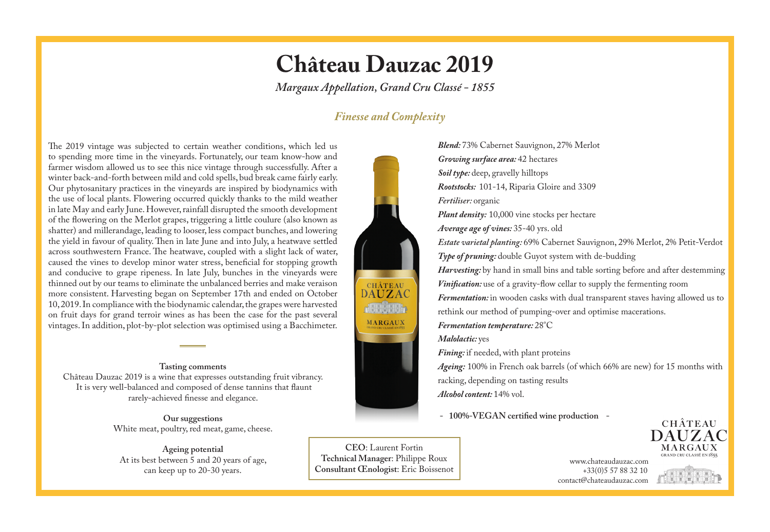## **Château Dauzac 2019**

*Margaux Appellation, Grand Cru Classé - 1855*

### *Finesse and Complexity*

The 2019 vintage was subjected to certain weather conditions, which led us to spending more time in the vineyards. Fortunately, our team know-how and farmer wisdom allowed us to see this nice vintage through successfully. After a winter back-and-forth between mild and cold spells, bud break came fairly early. Our phytosanitary practices in the vineyards are inspired by biodynamics with the use of local plants. Flowering occurred quickly thanks to the mild weather in late May and early June. However, rainfall disrupted the smooth development of the flowering on the Merlot grapes, triggering a little coulure (also known as shatter) and millerandage, leading to looser, less compact bunches, and lowering the yield in favour of quality. Then in late June and into July, a heatwave settled across southwestern France. The heatwave, coupled with a slight lack of water, caused the vines to develop minor water stress, beneficial for stopping growth and conducive to grape ripeness. In late July, bunches in the vineyards were thinned out by our teams to eliminate the unbalanced berries and make veraison more consistent. Harvesting began on September 17th and ended on October 10, 2019. In compliance with the biodynamic calendar, the grapes were harvested on fruit days for grand terroir wines as has been the case for the past several vintages. In addition, plot-by-plot selection was optimised using a Bacchimeter.

#### **Tasting comments**

Château Dauzac 2019 is a wine that expresses outstanding fruit vibrancy. It is very well-balanced and composed of dense tannins that flaunt rarely-achieved finesse and elegance.

> **Our suggestions** White meat, poultry, red meat, game, cheese.

**Ageing potential** At its best between 5 and 20 years of age, can keep up to 20-30 years.



**CEO**: Laurent Fortin **Technical Manager**: Philippe Roux **Consultant Œnologist**: Eric Boissenot

*Blend:* 73% Cabernet Sauvignon, 27% Merlot *Growing surface area:* 42 hectares *Soil type:* deep, gravelly hilltops *Rootstocks:* 101-14, Riparia Gloire and 3309 *Fertiliser:* organic *Plant density:* 10,000 vine stocks per hectare *Average age of vines:* 35-40 yrs. old *Estate varietal planting:* 69% Cabernet Sauvignon, 29% Merlot, 2% Petit-Verdot *Type of pruning:* double Guyot system with de-budding *Harvesting*: by hand in small bins and table sorting before and after destemming *Vinification:* use of a gravity-flow cellar to supply the fermenting room *Fermentation:* in wooden casks with dual transparent staves having allowed us to rethink our method of pumping-over and optimise macerations. *Fermentation temperature:* 28°C *Malolactic:* yes *Fining*: if needed, with plant proteins *Ageing:* 100% in French oak barrels (of which 66% are new) for 15 months with racking, depending on tasting results

*Alcohol content:* 14% vol.

 **- 100%-VEGAN certified wine production -**



 www.chateaudauzac.com +33(0)5 57 88 32 10 contact@chateaudauzac.com